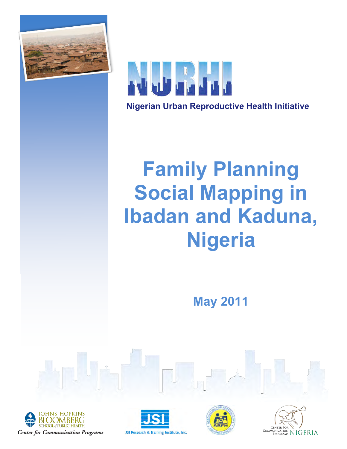



# **Family Planning Social Mapping in Ibadan and Kaduna, Nigeria**

**May 2011**







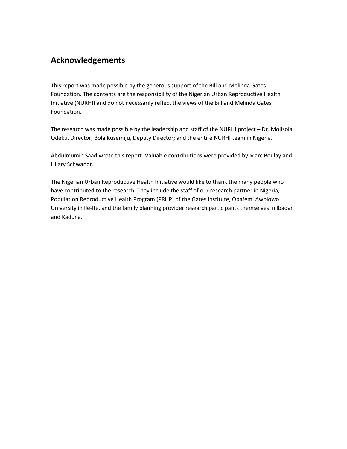# **Acknowledgements**

This report was made possible by the generous support of the Bill and Melinda Gates Foundation. The contents are the responsibility of the Nigerian Urban Reproductive Health Initiative (NURHI) and do not necessarily reflect the views of the Bill and Melinda Gates Foundation.

The research was made possible by the leadership and staff of the NURHI project  $-$  Dr. Mojisola Odeku, Director; Bola Kusemiju, Deputy Director; and the entire NURHI team in Nigeria.

Abdulmumin Saad wrote this report. Valuable contributions were provided by Marc Boulay and Hilary!Schwandt.

The Nigerian Urban Reproductive Health Initiative would like to thank the many people who have contributed to the research. They include the staff of our research partner in Nigeria, Population Reproductive Health Program (PRHP) of the Gates Institute, Obafemi Awolowo University in Ile-Ife, and the family planning provider research participants themselves in Ibadan and Kaduna.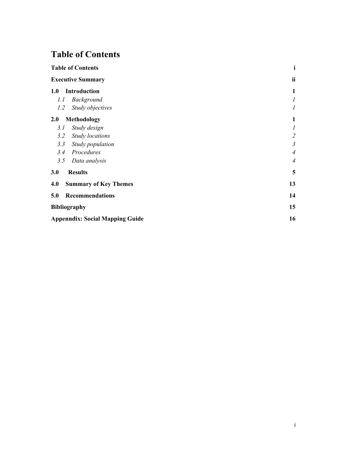# **Table of Contents**

| <b>Table of Contents</b><br><b>Executive Summary</b> |                              | i                |
|------------------------------------------------------|------------------------------|------------------|
|                                                      |                              | ii               |
| 1.0                                                  | <b>Introduction</b>          | 1                |
| l.l                                                  | Background                   | $\boldsymbol{l}$ |
| 1.2                                                  | Study objectives             | $\boldsymbol{l}$ |
| 2.0                                                  | Methodology                  | 1                |
| 3.1                                                  | Study design                 | $\boldsymbol{l}$ |
| 3.2                                                  | <b>Study locations</b>       | $\overline{2}$   |
| 3.3                                                  | Study population             | $\mathfrak{Z}$   |
| 3.4                                                  | Procedures                   | $\overline{4}$   |
| 3.5                                                  | Data analysis                | $\overline{4}$   |
| 3.0                                                  | <b>Results</b>               | 5                |
| 4.0                                                  | <b>Summary of Key Themes</b> | 13               |
| 5.0                                                  | <b>Recommendations</b>       | 14               |
| <b>Bibliography</b>                                  |                              | 15               |
| <b>Appenndix: Social Mapping Guide</b>               |                              |                  |
|                                                      |                              |                  |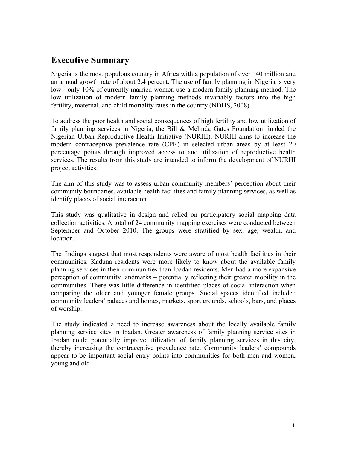# **Executive Summary**

Nigeria is the most populous country in Africa with a population of over 140 million and an annual growth rate of about 2.4 percent. The use of family planning in Nigeria is very low - only 10% of currently married women use a modern family planning method. The low utilization of modern family planning methods invariably factors into the high fertility, maternal, and child mortality rates in the country (NDHS, 2008).

To address the poor health and social consequences of high fertility and low utilization of family planning services in Nigeria, the Bill & Melinda Gates Foundation funded the Nigerian Urban Reproductive Health Initiative (NURHI). NURHI aims to increase the modern contraceptive prevalence rate (CPR) in selected urban areas by at least 20 percentage points through improved access to and utilization of reproductive health services. The results from this study are intended to inform the development of NURHI project activities.

The aim of this study was to assess urban community members' perception about their community boundaries, available health facilities and family planning services, as well as identify places of social interaction.

This study was qualitative in design and relied on participatory social mapping data collection activities. A total of 24 community mapping exercises were conducted between September and October 2010. The groups were stratified by sex, age, wealth, and location.

The findings suggest that most respondents were aware of most health facilities in their communities. Kaduna residents were more likely to know about the available family planning services in their communities than Ibadan residents. Men had a more expansive perception of community landmarks – potentially reflecting their greater mobility in the communities. There was little difference in identified places of social interaction when comparing the older and younger female groups. Social spaces identified included community leaders' palaces and homes, markets, sport grounds, schools, bars, and places of worship.

The study indicated a need to increase awareness about the locally available family planning service sites in Ibadan. Greater awareness of family planning service sites in Ibadan could potentially improve utilization of family planning services in this city, thereby increasing the contraceptive prevalence rate. Community leaders' compounds appear to be important social entry points into communities for both men and women, young and old.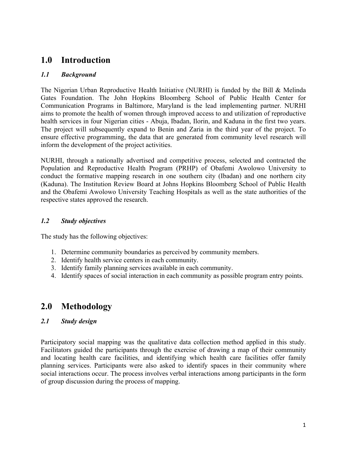# **1.0 Introduction**

# *1.1 Background*

The Nigerian Urban Reproductive Health Initiative (NURHI) is funded by the Bill & Melinda Gates Foundation. The John Hopkins Bloomberg School of Public Health Center for Communication Programs in Baltimore, Maryland is the lead implementing partner. NURHI aims to promote the health of women through improved access to and utilization of reproductive health services in four Nigerian cities - Abuja, Ibadan, Ilorin, and Kaduna in the first two years. The project will subsequently expand to Benin and Zaria in the third year of the project. To ensure effective programming, the data that are generated from community level research will inform the development of the project activities.

NURHI, through a nationally advertised and competitive process, selected and contracted the Population and Reproductive Health Program (PRHP) of Obafemi Awolowo University to conduct the formative mapping research in one southern city (Ibadan) and one northern city (Kaduna). The Institution Review Board at Johns Hopkins Bloomberg School of Public Health and the Obafemi Awolowo University Teaching Hospitals as well as the state authorities of the respective states approved the research.

# *1.2 Study objectives*

The study has the following objectives:

- 1. Determine community boundaries as perceived by community members.
- 2. Identify health service centers in each community.
- 3. Identify family planning services available in each community.
- 4. Identify spaces of social interaction in each community as possible program entry points.

# **2.0 Methodology**

# *2.1 Study design*

Participatory social mapping was the qualitative data collection method applied in this study. Facilitators guided the participants through the exercise of drawing a map of their community and locating health care facilities, and identifying which health care facilities offer family planning services. Participants were also asked to identify spaces in their community where social interactions occur. The process involves verbal interactions among participants in the form of group discussion during the process of mapping.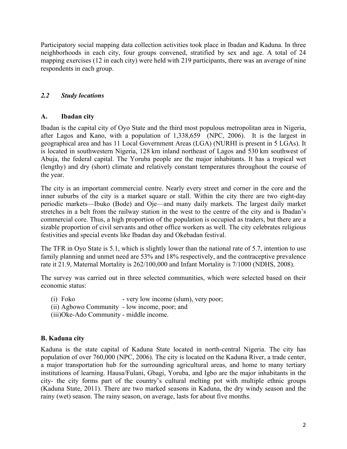Participatory social mapping data collection activities took place in Ibadan and Kaduna. In three neighborhoods in each city, four groups convened, stratified by sex and age. A total of 24 mapping exercises (12 in each city) were held with 219 participants, there was an average of nine respondents in each group.

# *2.2 Study locations*

## **A. Ibadan city**

Ibadan is the capital city of Oyo State and the third most populous metropolitan area in Nigeria, after Lagos and Kano, with a population of 1,338,659 (NPC, 2006). It is the largest in geographical area and has 11 Local Government Areas (LGA) (NURHI is present in 5 LGAs). It is located in southwestern Nigeria, 128 km inland northeast of Lagos and 530 km southwest of Abuja, the federal capital. The Yoruba people are the major inhabitants. It has a tropical wet (lengthy) and dry (short) climate and relatively constant temperatures throughout the course of the year.

The city is an important commercial centre. Nearly every street and corner in the core and the inner suburbs of the city is a market square or stall. Within the city there are two eight-day periodic markets—Ibuko (Bode) and Oje—and many daily markets. The largest daily market stretches in a belt from the railway station in the west to the centre of the city and is Ibadan's commercial core. Thus, a high proportion of the population is occupied as traders, but there are a sizable proportion of civil servants and other office workers as well. The city celebrates religious festivities and special events like Ibadan day and Okebadan festival.

The TFR in Oyo State is 5.1, which is slightly lower than the national rate of 5.7, intention to use family planning and unmet need are 53% and 18% respectively, and the contraceptive prevalence rate it 21.9, Maternal Mortality is 262/100,000 and Infant Mortality is 7/1000 (NDHS, 2008).

The survey was carried out in three selected communities, which were selected based on their economic status:

- (i) Foko very low income (slum), very poor;
- (ii) Agbowo Community low income, poor; and
- (iii)Oke-Ado Community middle income.

# **B. Kaduna city**

Kaduna is the state capital of Kaduna State located in north-central Nigeria. The city has population of over 760,000 (NPC, 2006). The city is located on the Kaduna River, a trade center, a major transportation hub for the surrounding agricultural areas, and home to many tertiary institutions of learning. Hausa/Fulani, Gbagi, Yoruba, and Igbo are the major inhabitants in the city- the city forms part of the country's cultural melting pot with multiple ethnic groups (Kaduna State, 2011). There are two marked seasons in Kaduna, the dry windy season and the rainy (wet) season. The rainy season, on average, lasts for about five months.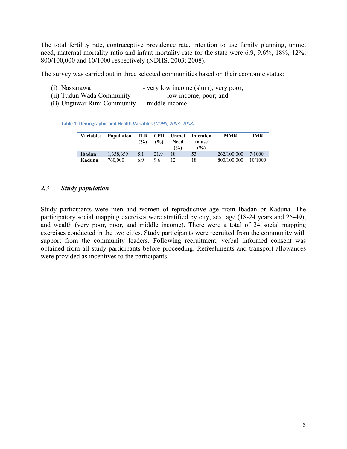The total fertility rate, contraceptive prevalence rate, intention to use family planning, unmet need, maternal mortality ratio and infant mortality rate for the state were 6.9, 9.6%, 18%, 12%, 800/100,000 and 10/1000 respectively (NDHS, 2003; 2008).

The survey was carried out in three selected communities based on their economic status:

- (i) Nassarawa very low income (slum), very poor;
- (ii) Tudun Wada Community low income, poor; and
- (iii) Unguwar Rimi Community middle income

Table 1: Demographic and Health Variables (NDHS, 2003; 2008)

| <b>Variables</b> | Population | TFR CPR<br>$\binom{0}{0}$ | $($ %) | Unmet<br><b>Need</b><br>$\frac{9}{6}$ | Intention<br>to use<br>$\frac{10}{2}$ | <b>MMR</b>  | <b>IMR</b> |
|------------------|------------|---------------------------|--------|---------------------------------------|---------------------------------------|-------------|------------|
| Ibadan           | 1.338.659  | 5.1                       | 21.9   | 18                                    | 53                                    | 262/100.000 | 7/1000     |
| Kaduna           | 760.000    | 69                        | 96     | $12 \overline{)}$                     | 18                                    | 800/100.000 | 10/1000    |

#### *2.3 Study population*

Study participants were men and women of reproductive age from Ibadan or Kaduna. The participatory social mapping exercises were stratified by city, sex, age (18-24 years and 25-49), and wealth (very poor, poor, and middle income). There were a total of 24 social mapping exercises conducted in the two cities. Study participants were recruited from the community with support from the community leaders. Following recruitment, verbal informed consent was obtained from all study participants before proceeding. Refreshments and transport allowances were provided as incentives to the participants.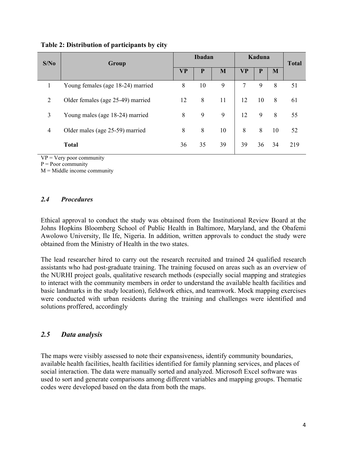| S/No | Group                             | <b>Ibadan</b> |    |    | Kaduna    |    |    | <b>Total</b> |
|------|-----------------------------------|---------------|----|----|-----------|----|----|--------------|
|      |                                   | VP            | P  | M  | <b>VP</b> | P  | M  |              |
|      | Young females (age 18-24) married | 8             | 10 | 9  | 7         | 9  | 8  | 51           |
| 2    | Older females (age 25-49) married | 12            | 8  | 11 | 12        | 10 | 8  | 61           |
| 3    | Young males (age 18-24) married   | 8             | 9  | 9  | 12        | 9  | 8  | 55           |
| 4    | Older males (age 25-59) married   | 8             | 8  | 10 | 8         | 8  | 10 | 52           |
|      | <b>Total</b>                      | 36            | 35 | 39 | 39        | 36 | 34 | 219          |

#### **Table 2: Distribution of participants by city**

 $VP = V$ ery poor community

 $P = Poor$  community

 $M =$ Middle income community

## *2.4 Procedures*

Ethical approval to conduct the study was obtained from the Institutional Review Board at the Johns Hopkins Bloomberg School of Public Health in Baltimore, Maryland, and the Obafemi Awolowo University, Ile Ife, Nigeria. In addition, written approvals to conduct the study were obtained from the Ministry of Health in the two states.

The lead researcher hired to carry out the research recruited and trained 24 qualified research assistants who had post-graduate training. The training focused on areas such as an overview of the NURHI project goals, qualitative research methods (especially social mapping and strategies to interact with the community members in order to understand the available health facilities and basic landmarks in the study location), fieldwork ethics, and teamwork. Mock mapping exercises were conducted with urban residents during the training and challenges were identified and solutions proffered, accordingly

# *2.5 Data analysis*

The maps were visibly assessed to note their expansiveness, identify community boundaries, available health facilities, health facilities identified for family planning services, and places of social interaction. The data were manually sorted and analyzed. Microsoft Excel software was used to sort and generate comparisons among different variables and mapping groups. Thematic codes were developed based on the data from both the maps.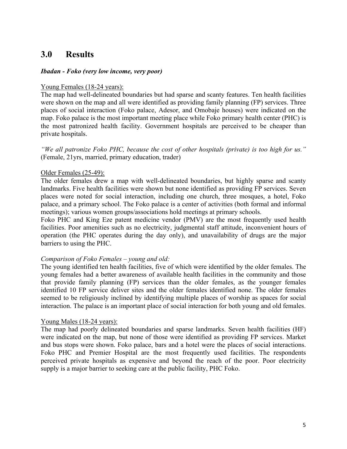# **3.0 Results**

#### *Ibadan - Foko (very low income, very poor)*

#### Young Females (18-24 years):

The map had well-delineated boundaries but had sparse and scanty features. Ten health facilities were shown on the map and all were identified as providing family planning (FP) services. Three places of social interaction (Foko palace, Adesor, and Omobaje houses) were indicated on the map. Foko palace is the most important meeting place while Foko primary health center (PHC) is the most patronized health facility. Government hospitals are perceived to be cheaper than private hospitals.

*"We all patronize Foko PHC, because the cost of other hospitals (private) is too high for us."* (Female, 21yrs, married, primary education, trader)

#### Older Females (25-49):

The older females drew a map with well-delineated boundaries, but highly sparse and scanty landmarks. Five health facilities were shown but none identified as providing FP services. Seven places were noted for social interaction, including one church, three mosques, a hotel, Foko palace, and a primary school. The Foko palace is a center of activities (both formal and informal meetings); various women groups/associations hold meetings at primary schools.

Foko PHC and King Eze patent medicine vendor (PMV) are the most frequently used health facilities. Poor amenities such as no electricity, judgmental staff attitude, inconvenient hours of operation (the PHC operates during the day only), and unavailability of drugs are the major barriers to using the PHC.

#### *Comparison of Foko Females – young and old:*

The young identified ten health facilities, five of which were identified by the older females. The young females had a better awareness of available health facilities in the community and those that provide family planning (FP) services than the older females, as the younger females identified 10 FP service deliver sites and the older females identified none. The older females seemed to be religiously inclined by identifying multiple places of worship as spaces for social interaction. The palace is an important place of social interaction for both young and old females.

#### Young Males (18-24 years):

The map had poorly delineated boundaries and sparse landmarks. Seven health facilities (HF) were indicated on the map, but none of those were identified as providing FP services. Market and bus stops were shown. Foko palace, bars and a hotel were the places of social interactions. Foko PHC and Premier Hospital are the most frequently used facilities. The respondents perceived private hospitals as expensive and beyond the reach of the poor. Poor electricity supply is a major barrier to seeking care at the public facility, PHC Foko.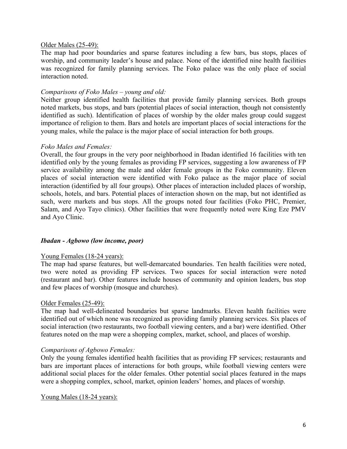#### Older Males (25-49):

The map had poor boundaries and sparse features including a few bars, bus stops, places of worship, and community leader's house and palace. None of the identified nine health facilities was recognized for family planning services. The Foko palace was the only place of social interaction noted.

#### *Comparisons of Foko Males – young and old:*

Neither group identified health facilities that provide family planning services. Both groups noted markets, bus stops, and bars (potential places of social interaction, though not consistently identified as such). Identification of places of worship by the older males group could suggest importance of religion to them. Bars and hotels are important places of social interactions for the young males, while the palace is the major place of social interaction for both groups.

#### *Foko Males and Females:*

Overall, the four groups in the very poor neighborhood in Ibadan identified 16 facilities with ten identified only by the young females as providing FP services, suggesting a low awareness of FP service availability among the male and older female groups in the Foko community. Eleven places of social interaction were identified with Foko palace as the major place of social interaction (identified by all four groups). Other places of interaction included places of worship, schools, hotels, and bars. Potential places of interaction shown on the map, but not identified as such, were markets and bus stops. All the groups noted four facilities (Foko PHC, Premier, Salam, and Ayo Tayo clinics). Other facilities that were frequently noted were King Eze PMV and Ayo Clinic.

#### *Ibadan - Agbowo (low income, poor)*

#### Young Females (18-24 years):

The map had sparse features, but well-demarcated boundaries. Ten health facilities were noted, two were noted as providing FP services. Two spaces for social interaction were noted (restaurant and bar). Other features include houses of community and opinion leaders, bus stop and few places of worship (mosque and churches).

#### Older Females (25-49):

The map had well-delineated boundaries but sparse landmarks. Eleven health facilities were identified out of which none was recognized as providing family planning services. Six places of social interaction (two restaurants, two football viewing centers, and a bar) were identified. Other features noted on the map were a shopping complex, market, school, and places of worship.

#### *Comparisons of Agbowo Females:*

Only the young females identified health facilities that as providing FP services; restaurants and bars are important places of interactions for both groups, while football viewing centers were additional social places for the older females. Other potential social places featured in the maps were a shopping complex, school, market, opinion leaders' homes, and places of worship.

Young Males (18-24 years):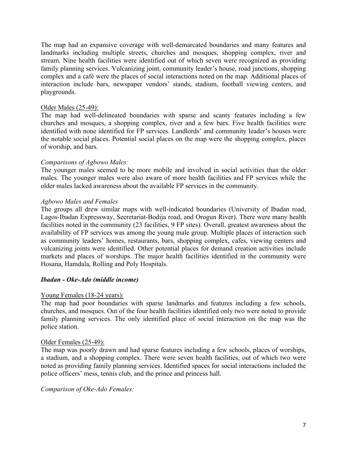The map had an expansive coverage with well-demarcated boundaries and many features and landmarks including multiple streets, churches and mosques, shopping complex, river and stream. Nine health facilities were identified out of which seven were recognized as providing family planning services. Vulcanizing joint, community leader's house, road junctions, shopping complex and a café were the places of social interactions noted on the map. Additional places of interaction include bars, newspaper vendors' stands, stadium, football viewing centers, and playgrounds.

#### Older Males (25-49):

The map had well-delineated boundaries with sparse and scanty features including a few churches and mosques, a shopping complex, river and a few bars. Five health facilities were identified with none identified for FP services. Landlords' and community leader's houses were the notable social places. Potential social places on the map were the shopping complex, places of worship, and bars.

#### *Comparisons of Agbowo Males:*

The younger males seemed to be more mobile and involved in social activities than the older males. The younger males were also aware of more health facilities and FP services while the older males lacked awareness about the available FP services in the community.

#### *Agbowo Males and Females*

The groups all drew similar maps with well-indicated boundaries (University of Ibadan road, Lagos-Ibadan Expressway, Secretariat-Bodija road, and Orogun River). There were many health facilities noted in the community (23 facilities, 9 FP sites). Overall, greatest awareness about the availability of FP services was among the young male group. Multiple places of interaction such as community leaders' homes, restaurants, bars, shopping complex, cafes, viewing centers and vulcanizing joints were identified. Other potential places for demand creation activities include markets and places of worships. The major health facilities identified in the community were Hosana, Hamdala, Rolling and Poly Hospitals.

## *Ibadan - Oke-Ado (middle income)*

#### Young Females (18-24 years):

The map had poor boundaries with sparse landmarks and features including a few schools, churches, and mosques. Out of the four health facilities identified only two were noted to provide family planning services. The only identified place of social interaction on the map was the police station.

#### Older Females (25-49):

The map was poorly drawn and had sparse features including a few schools, places of worships, a stadium, and a shopping complex. There were seven health facilities, out of which two were noted as providing family planning services. Identified spaces for social interactions included the police officers' mess, tennis club, and the prince and princess hall.

#### *Comparison of Oke-Ado Females:*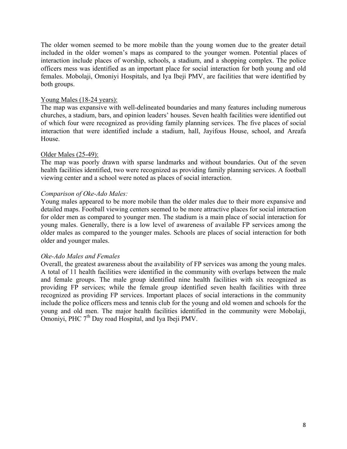The older women seemed to be more mobile than the young women due to the greater detail included in the older women's maps as compared to the younger women. Potential places of interaction include places of worship, schools, a stadium, and a shopping complex. The police officers mess was identified as an important place for social interaction for both young and old females. Mobolaji, Omoniyi Hospitals, and Iya Ibeji PMV, are facilities that were identified by both groups.

#### Young Males (18-24 years):

The map was expansive with well-delineated boundaries and many features including numerous churches, a stadium, bars, and opinion leaders' houses. Seven health facilities were identified out of which four were recognized as providing family planning services. The five places of social interaction that were identified include a stadium, hall, Jayifous House, school, and Areafa House.

#### Older Males (25-49):

The map was poorly drawn with sparse landmarks and without boundaries. Out of the seven health facilities identified, two were recognized as providing family planning services. A football viewing center and a school were noted as places of social interaction.

#### *Comparison of Oke-Ado Males:*

Young males appeared to be more mobile than the older males due to their more expansive and detailed maps. Football viewing centers seemed to be more attractive places for social interaction for older men as compared to younger men. The stadium is a main place of social interaction for young males. Generally, there is a low level of awareness of available FP services among the older males as compared to the younger males. Schools are places of social interaction for both older and younger males.

#### *Oke-Ado Males and Females*

Overall, the greatest awareness about the availability of FP services was among the young males. A total of 11 health facilities were identified in the community with overlaps between the male and female groups. The male group identified nine health facilities with six recognized as providing FP services; while the female group identified seven health facilities with three recognized as providing FP services. Important places of social interactions in the community include the police officers mess and tennis club for the young and old women and schools for the young and old men. The major health facilities identified in the community were Mobolaji, Omoniyi, PHC  $7<sup>th</sup>$  Day road Hospital, and Iva Ibeji PMV.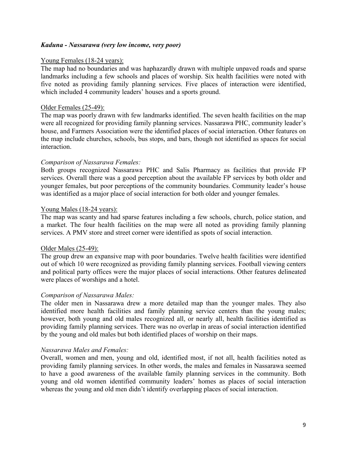#### *Kaduna - Nassarawa (very low income, very poor)*

#### Young Females (18-24 years):

The map had no boundaries and was haphazardly drawn with multiple unpaved roads and sparse landmarks including a few schools and places of worship. Six health facilities were noted with five noted as providing family planning services. Five places of interaction were identified, which included 4 community leaders' houses and a sports ground.

#### Older Females (25-49):

The map was poorly drawn with few landmarks identified. The seven health facilities on the map were all recognized for providing family planning services. Nassarawa PHC, community leader's house, and Farmers Association were the identified places of social interaction. Other features on the map include churches, schools, bus stops, and bars, though not identified as spaces for social interaction.

#### *Comparison of Nassarawa Females:*

Both groups recognized Nassarawa PHC and Salis Pharmacy as facilities that provide FP services. Overall there was a good perception about the available FP services by both older and younger females, but poor perceptions of the community boundaries. Community leader's house was identified as a major place of social interaction for both older and younger females.

#### Young Males (18-24 years):

The map was scanty and had sparse features including a few schools, church, police station, and a market. The four health facilities on the map were all noted as providing family planning services. A PMV store and street corner were identified as spots of social interaction.

#### Older Males (25-49):

The group drew an expansive map with poor boundaries. Twelve health facilities were identified out of which 10 were recognized as providing family planning services. Football viewing centers and political party offices were the major places of social interactions. Other features delineated were places of worships and a hotel.

#### *Comparison of Nassarawa Males:*

The older men in Nassarawa drew a more detailed map than the younger males. They also identified more health facilities and family planning service centers than the young males; however, both young and old males recognized all, or nearly all, health facilities identified as providing family planning services. There was no overlap in areas of social interaction identified by the young and old males but both identified places of worship on their maps.

#### *Nassarawa Males and Females:*

Overall, women and men, young and old, identified most, if not all, health facilities noted as providing family planning services. In other words, the males and females in Nassarawa seemed to have a good awareness of the available family planning services in the community. Both young and old women identified community leaders' homes as places of social interaction whereas the young and old men didn't identify overlapping places of social interaction.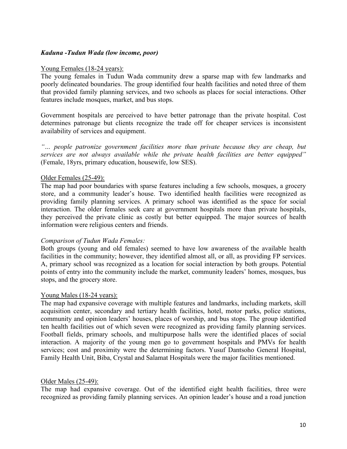#### *Kaduna -Tudun Wada (low income, poor)*

#### Young Females (18-24 years):

The young females in Tudun Wada community drew a sparse map with few landmarks and poorly delineated boundaries. The group identified four health facilities and noted three of them that provided family planning services, and two schools as places for social interactions. Other features include mosques, market, and bus stops.

Government hospitals are perceived to have better patronage than the private hospital. Cost determines patronage but clients recognize the trade off for cheaper services is inconsistent availability of services and equipment.

*"… people patronize government facilities more than private because they are cheap, but services are not always available while the private health facilities are better equipped"* (Female, 18yrs, primary education, housewife, low SES).

#### Older Females (25-49):

The map had poor boundaries with sparse features including a few schools, mosques, a grocery store, and a community leader's house. Two identified health facilities were recognized as providing family planning services. A primary school was identified as the space for social interaction. The older females seek care at government hospitals more than private hospitals, they perceived the private clinic as costly but better equipped. The major sources of health information were religious centers and friends.

#### *Comparison of Tudun Wada Females:*

Both groups (young and old females) seemed to have low awareness of the available health facilities in the community; however, they identified almost all, or all, as providing FP services. A, primary school was recognized as a location for social interaction by both groups. Potential points of entry into the community include the market, community leaders' homes, mosques, bus stops, and the grocery store.

#### Young Males (18-24 years):

The map had expansive coverage with multiple features and landmarks, including markets, skill acquisition center, secondary and tertiary health facilities, hotel, motor parks, police stations, community and opinion leaders' houses, places of worship, and bus stops. The group identified ten health facilities out of which seven were recognized as providing family planning services. Football fields, primary schools, and multipurpose halls were the identified places of social interaction. A majority of the young men go to government hospitals and PMVs for health services; cost and proximity were the determining factors. Yusuf Dantsoho General Hospital, Family Health Unit, Biba, Crystal and Salamat Hospitals were the major facilities mentioned.

#### Older Males (25-49):

The map had expansive coverage. Out of the identified eight health facilities, three were recognized as providing family planning services. An opinion leader's house and a road junction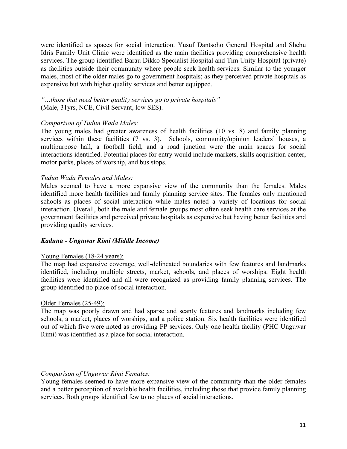were identified as spaces for social interaction. Yusuf Dantsoho General Hospital and Shehu Idris Family Unit Clinic were identified as the main facilities providing comprehensive health services. The group identified Barau Dikko Specialist Hospital and Tim Unity Hospital (private) as facilities outside their community where people seek health services. Similar to the younger males, most of the older males go to government hospitals; as they perceived private hospitals as expensive but with higher quality services and better equipped.

*"…those that need better quality services go to private hospitals"* (Male, 31yrs, NCE, Civil Servant, low SES).

#### *Comparison of Tudun Wada Males:*

The young males had greater awareness of health facilities (10 vs. 8) and family planning services within these facilities (7 vs. 3). Schools, community/opinion leaders' houses, a multipurpose hall, a football field, and a road junction were the main spaces for social interactions identified. Potential places for entry would include markets, skills acquisition center, motor parks, places of worship, and bus stops.

#### *Tudun Wada Females and Males:*

Males seemed to have a more expansive view of the community than the females. Males identified more health facilities and family planning service sites. The females only mentioned schools as places of social interaction while males noted a variety of locations for social interaction. Overall, both the male and female groups most often seek health care services at the government facilities and perceived private hospitals as expensive but having better facilities and providing quality services.

#### *Kaduna - Unguwar Rimi (Middle Income)*

#### Young Females (18-24 years):

The map had expansive coverage, well-delineated boundaries with few features and landmarks identified, including multiple streets, market, schools, and places of worships. Eight health facilities were identified and all were recognized as providing family planning services. The group identified no place of social interaction.

#### Older Females (25-49):

The map was poorly drawn and had sparse and scanty features and landmarks including few schools, a market, places of worships, and a police station. Six health facilities were identified out of which five were noted as providing FP services. Only one health facility (PHC Unguwar Rimi) was identified as a place for social interaction.

#### *Comparison of Unguwar Rimi Females:*

Young females seemed to have more expansive view of the community than the older females and a better perception of available health facilities, including those that provide family planning services. Both groups identified few to no places of social interactions.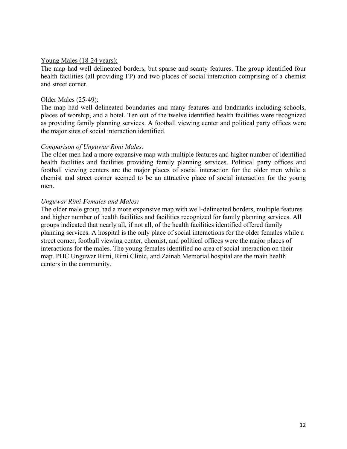#### Young Males (18-24 years):

The map had well delineated borders, but sparse and scanty features. The group identified four health facilities (all providing FP) and two places of social interaction comprising of a chemist and street corner.

#### Older Males (25-49):

The map had well delineated boundaries and many features and landmarks including schools, places of worship, and a hotel. Ten out of the twelve identified health facilities were recognized as providing family planning services. A football viewing center and political party offices were the major sites of social interaction identified.

#### *Comparison of Unguwar Rimi Males:*

The older men had a more expansive map with multiple features and higher number of identified health facilities and facilities providing family planning services. Political party offices and football viewing centers are the major places of social interaction for the older men while a chemist and street corner seemed to be an attractive place of social interaction for the young men.

#### *Unguwar Rimi Females and Males:*

The older male group had a more expansive map with well-delineated borders, multiple features and higher number of health facilities and facilities recognized for family planning services. All groups indicated that nearly all, if not all, of the health facilities identified offered family planning services. A hospital is the only place of social interactions for the older females while a street corner, football viewing center, chemist, and political offices were the major places of interactions for the males. The young females identified no area of social interaction on their map. PHC Unguwar Rimi, Rimi Clinic, and Zainab Memorial hospital are the main health centers in the community.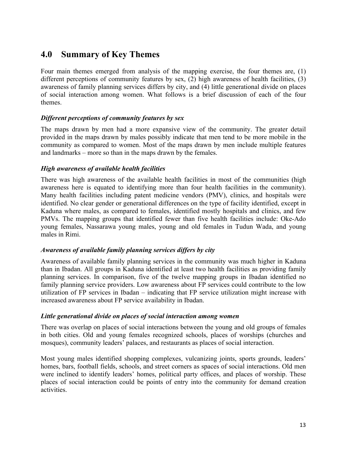# **4.0 Summary of Key Themes**

Four main themes emerged from analysis of the mapping exercise, the four themes are, (1) different perceptions of community features by sex, (2) high awareness of health facilities, (3) awareness of family planning services differs by city, and (4) little generational divide on places of social interaction among women. What follows is a brief discussion of each of the four themes.

## *Different perceptions of community features by sex*

The maps drawn by men had a more expansive view of the community. The greater detail provided in the maps drawn by males possibly indicate that men tend to be more mobile in the community as compared to women. Most of the maps drawn by men include multiple features and landmarks – more so than in the maps drawn by the females.

## *High awareness of available health facilities*

There was high awareness of the available health facilities in most of the communities (high awareness here is equated to identifying more than four health facilities in the community). Many health facilities including patent medicine vendors (PMV), clinics, and hospitals were identified. No clear gender or generational differences on the type of facility identified, except in Kaduna where males, as compared to females, identified mostly hospitals and clinics, and few PMVs. The mapping groups that identified fewer than five health facilities include: Oke-Ado young females, Nassarawa young males, young and old females in Tudun Wada, and young males in Rimi.

## *Awareness of available family planning services differs by city*

Awareness of available family planning services in the community was much higher in Kaduna than in Ibadan. All groups in Kaduna identified at least two health facilities as providing family planning services. In comparison, five of the twelve mapping groups in Ibadan identified no family planning service providers. Low awareness about FP services could contribute to the low utilization of FP services in Ibadan – indicating that FP service utilization might increase with increased awareness about FP service availability in Ibadan.

## *Little generational divide on places of social interaction among women*

There was overlap on places of social interactions between the young and old groups of females in both cities. Old and young females recognized schools, places of worships (churches and mosques), community leaders' palaces, and restaurants as places of social interaction.

Most young males identified shopping complexes, vulcanizing joints, sports grounds, leaders' homes, bars, football fields, schools, and street corners as spaces of social interactions. Old men were inclined to identify leaders' homes, political party offices, and places of worship. These places of social interaction could be points of entry into the community for demand creation activities.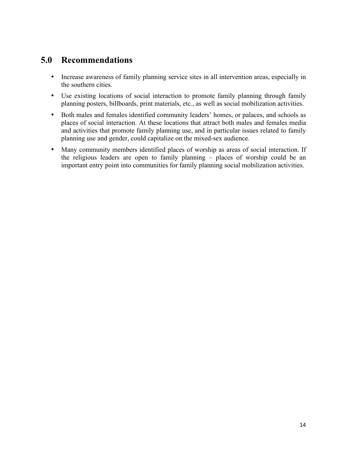# **5.0 Recommendations**

- Increase awareness of family planning service sites in all intervention areas, especially in the southern cities.
- Use existing locations of social interaction to promote family planning through family planning posters, billboards, print materials, etc., as well as social mobilization activities.
- Both males and females identified community leaders' homes, or palaces, and schools as places of social interaction. At these locations that attract both males and females media and activities that promote family planning use, and in particular issues related to family planning use and gender, could capitalize on the mixed-sex audience.
- Many community members identified places of worship as areas of social interaction. If the religious leaders are open to family planning – places of worship could be an important entry point into communities for family planning social mobilization activities.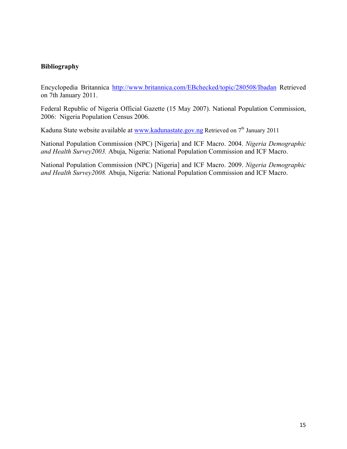## **Bibliography**

Encyclopedia Britannica http://www.britannica.com/EBchecked/topic/280508/Ibadan Retrieved on 7th January 2011.

Federal Republic of Nigeria Official Gazette (15 May 2007). National Population Commission, 2006: Nigeria Population Census 2006.

Kaduna State website available at www.kadunastate.gov.ng Retrieved on  $7<sup>th</sup>$  January 2011

National Population Commission (NPC) [Nigeria] and ICF Macro. 2004. *Nigeria Demographic and Health Survey2003.* Abuja, Nigeria: National Population Commission and ICF Macro.

National Population Commission (NPC) [Nigeria] and ICF Macro. 2009. *Nigeria Demographic and Health Survey2008.* Abuja, Nigeria: National Population Commission and ICF Macro.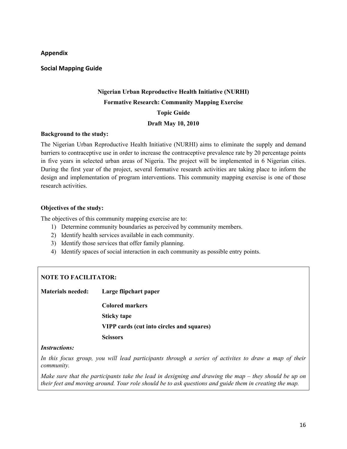#### **Appendix.**

#### **Social.Mapping.Guide**

# **Nigerian Urban Reproductive Health Initiative (NURHI) Formative Research: Community Mapping Exercise Topic Guide Draft May 10, 2010**

#### **Background to the study:**

The Nigerian Urban Reproductive Health Initiative (NURHI) aims to eliminate the supply and demand barriers to contraceptive use in order to increase the contraceptive prevalence rate by 20 percentage points in five years in selected urban areas of Nigeria. The project will be implemented in 6 Nigerian cities. During the first year of the project, several formative research activities are taking place to inform the design and implementation of program interventions. This community mapping exercise is one of those research activities.

#### **Objectives of the study:**

The objectives of this community mapping exercise are to:

- 1) Determine community boundaries as perceived by community members.
- 2) Identify health services available in each community.
- 3) Identify those services that offer family planning.
- 4) Identify spaces of social interaction in each community as possible entry points.

## **NOTE TO FACILITATOR:**

**Materials needed: Large flipchart paper**

**Colored markers Sticky tape VIPP cards (cut into circles and squares) Scissors**

#### *Instructions:*

*In this focus group, you will lead participants through a series of activites to draw a map of their community.* 

*Make sure that the participants take the lead in designing and drawing the map – they should be up on their feet and moving around. Your role should be to ask questions and guide them in creating the map.*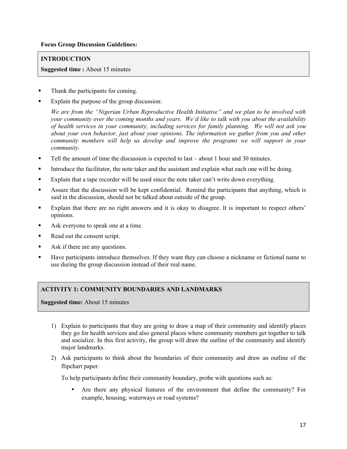#### **Focus Group Discussion Guidelines:**

#### **INTRODUCTION**

**Suggested time :** About 15 minutes

- Thank the participants for coming.
- Explain the purpose of the group discussion:

*We are from the "Nigerian Urban Reproductive Health Initiative" and we plan to be involved with your community over the coming months and years. We'd like to talk with you about the availability of health services in your community, including services for family planning. We will not ask you about your own behavior, just about your opinions. The information we gather from you and other community members will help us develop and improve the programs we will support in your community.*

- Tell the amount of time the discussion is expected to last about 1 hour and 30 minutes.
- Introduce the facilitator, the note taker and the assistant and explain what each one will be doing.
- Explain that a tape recorder will be used since the note taker can't write down everything.
- Assure that the discussion will be kept confidential. Remind the participants that anything, which is said in the discussion, should not be talked about outside of the group.
- Explain that there are no right answers and it is okay to disagree. It is important to respect others' opinions.
- Ask everyone to speak one at a time.
- Read out the consent script.
- Ask if there are any questions.
- Have participants introduce themselves. If they want they can choose a nickname or fictional name to use during the group discussion instead of their real name.

#### **ACTIVITY 1: COMMUNITY BOUNDARIES AND LANDMARKS**

**Suggested time:** About 15 minutes

- 1) Explain to participants that they are going to draw a map of their community and identify places they go for health services and also general places where community members get together to talk and socialize. In this first activity, the group will draw the outline of the community and identify major landmarks.
- 2) Ask participants to think about the boundaries of their community and draw an outline of the flipchart paper.

To help participants define their community boundary, probe with questions such as:

• Are there any physical features of the environment that define the community? For example, housing, waterways or road systems?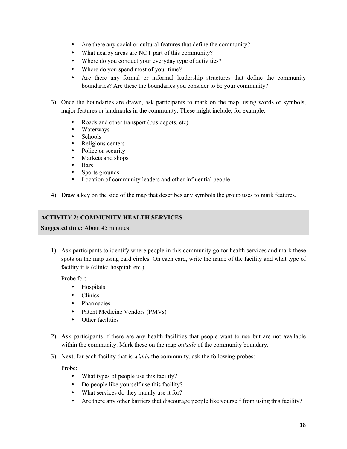- Are there any social or cultural features that define the community?
- What nearby areas are NOT part of this community?
- Where do you conduct your everyday type of activities?
- Where do you spend most of your time?
- Are there any formal or informal leadership structures that define the community boundaries? Are these the boundaries you consider to be your community?
- 3) Once the boundaries are drawn, ask participants to mark on the map, using words or symbols, major features or landmarks in the community. These might include, for example:
	- Roads and other transport (bus depots, etc)
	- Waterways
	- Schools<br>• Religiou
	- Religious centers<br>• Police or security
	- Police or security
	- Markets and shops<br>• Bars
	- Bars
	- Sports grounds
	- Location of community leaders and other influential people
- 4) Draw a key on the side of the map that describes any symbols the group uses to mark features.

#### **ACTIVITY 2: COMMUNITY HEALTH SERVICES**

**Suggested time:** About 45 minutes

1) Ask participants to identify where people in this community go for health services and mark these spots on the map using card circles. On each card, write the name of the facility and what type of facility it is (clinic; hospital; etc.)

Probe for:

- Hospitals
- Clinics
- Pharmacies
- Patent Medicine Vendors (PMVs)
- Other facilities
- 2) Ask participants if there are any health facilities that people want to use but are not available within the community. Mark these on the map *outside* of the community boundary.
- 3) Next, for each facility that is *within* the community, ask the following probes:

Probe:

- What types of people use this facility?
- Do people like yourself use this facility?
- What services do they mainly use it for?
- Are there any other barriers that discourage people like yourself from using this facility?